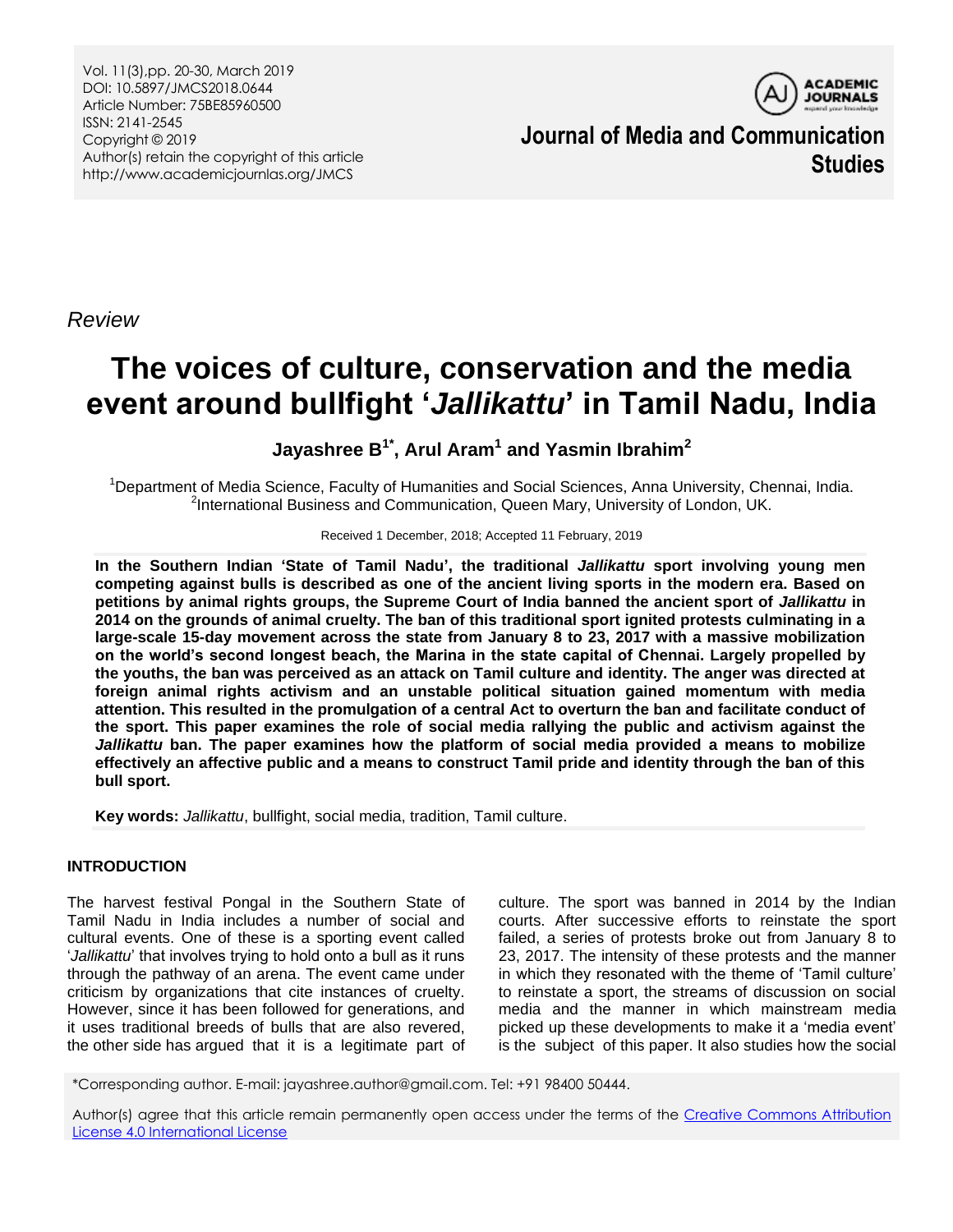Vol. 11(3),pp. 20-30, March 2019 DOI: 10.5897/JMCS2018.0644 Article Number: 75BE85960500 ISSN: 2141-2545 Copyright © 2019 Author(s) retain the copyright of this article http://www.academicjournlas.org/JMCS



**Journal of Media and Communication Studies**

*Review*

# **The voices of culture, conservation and the media event around bullfight '***Jallikattu***' in Tamil Nadu, India**

# **Jayashree B1\* , Arul Aram<sup>1</sup> and Yasmin Ibrahim<sup>2</sup>**

<sup>1</sup>Department of Media Science, Faculty of Humanities and Social Sciences, Anna University, Chennai, India. <sup>2</sup>International Business and Communication, Queen Mary, University of London, UK.

#### Received 1 December, 2018; Accepted 11 February, 2019

**In the Southern Indian 'State of Tamil Nadu', the traditional** *Jallikattu* **sport involving young men competing against bulls is described as one of the ancient living sports in the modern era. Based on petitions by animal rights groups, the Supreme Court of India banned the ancient sport of** *Jallikattu* **in 2014 on the grounds of animal cruelty. The ban of this traditional sport ignited protests culminating in a large-scale 15-day movement across the state from January 8 to 23, 2017 with a massive mobilization on the world's second longest beach, the Marina in the state capital of Chennai. Largely propelled by the youths, the ban was perceived as an attack on Tamil culture and identity. The anger was directed at foreign animal rights activism and an unstable political situation gained momentum with media attention. This resulted in the promulgation of a central Act to overturn the ban and facilitate conduct of the sport. This paper examines the role of social media rallying the public and activism against the**  *Jallikattu* **ban. The paper examines how the platform of social media provided a means to mobilize effectively an affective public and a means to construct Tamil pride and identity through the ban of this bull sport.** 

**Key words:** *Jallikattu*, bullfight, social media, tradition, Tamil culture.

# **INTRODUCTION**

The harvest festival Pongal in the Southern State of Tamil Nadu in India includes a number of social and cultural events. One of these is a sporting event called "*Jallikattu*" that involves trying to hold onto a bull as it runs through the pathway of an arena. The event came under criticism by organizations that cite instances of cruelty. However, since it has been followed for generations, and it uses traditional breeds of bulls that are also revered, the other side has argued that it is a legitimate part of

culture. The sport was banned in 2014 by the Indian courts. After successive efforts to reinstate the sport failed, a series of protests broke out from January 8 to 23, 2017. The intensity of these protests and the manner in which they resonated with the theme of "Tamil culture" to reinstate a sport, the streams of discussion on social media and the manner in which mainstream media picked up these developments to make it a "media event" is the subject of this paper. It also studies how the social

\*Corresponding author. E-mail: jayashree.author@gmail.com. Tel: +91 98400 50444.

Author(s) agree that this article remain permanently open access under the terms of the [Creative Commons Attribution](http://creativecommons.org/licenses/by/4.0/deed.en_US)  [License 4.0 International License](http://creativecommons.org/licenses/by/4.0/deed.en_US)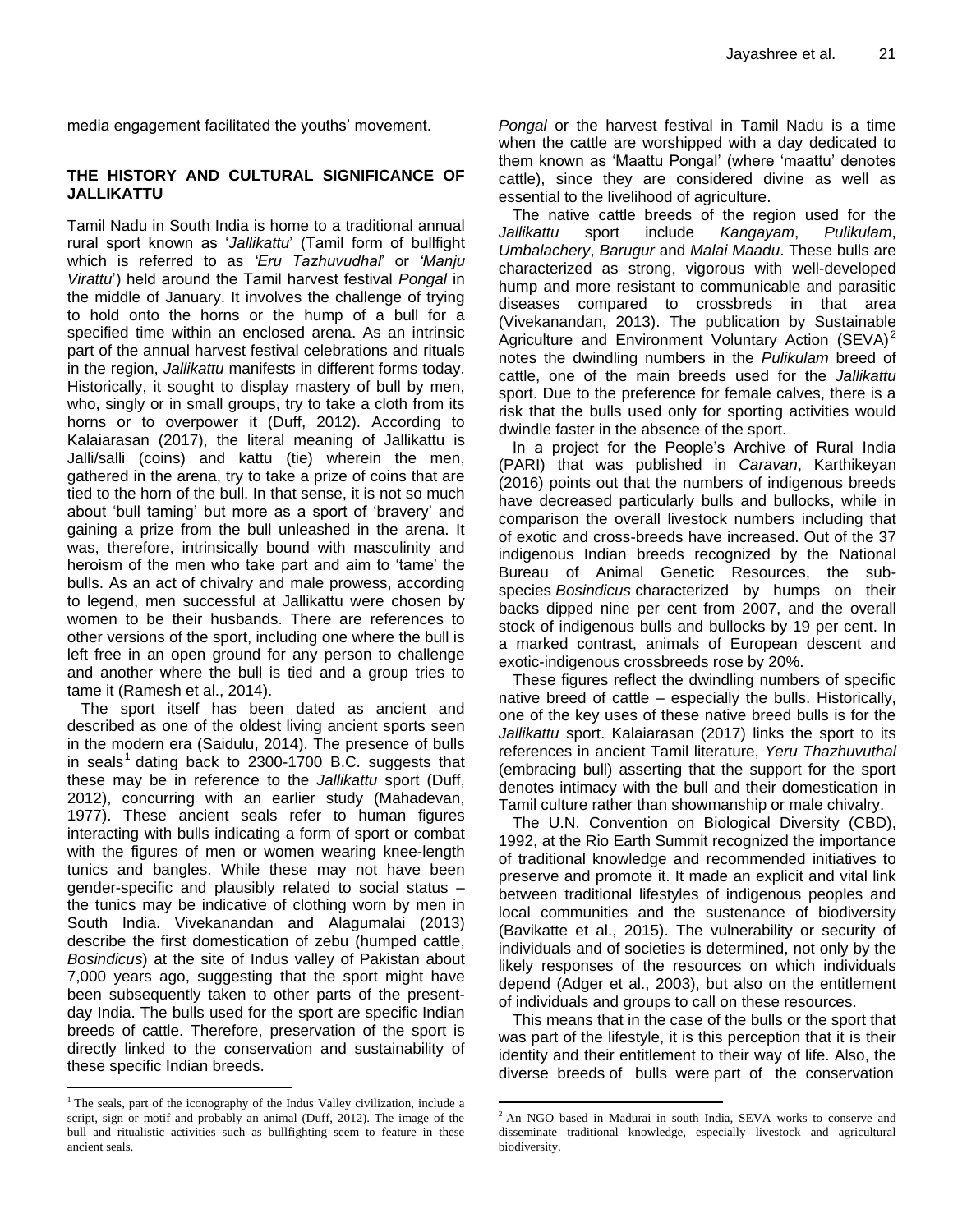media engagement facilitated the youths' movement.

#### **THE HISTORY AND CULTURAL SIGNIFICANCE OF JALLIKATTU**

Tamil Nadu in South India is home to a traditional annual rural sport known as "*Jallikattu*" (Tamil form of bullfight which is referred to as *'Eru Tazhuvudhal*" or *'Manju Virattu*") held around the Tamil harvest festival *Pongal* in the middle of January. It involves the challenge of trying to hold onto the horns or the hump of a bull for a specified time within an enclosed arena. As an intrinsic part of the annual harvest festival celebrations and rituals in the region, *Jallikattu* manifests in different forms today. Historically, it sought to display mastery of bull by men, who, singly or in small groups, try to take a cloth from its horns or to overpower it (Duff, 2012). According to Kalaiarasan (2017), the literal meaning of Jallikattu is Jalli/salli (coins) and kattu (tie) wherein the men, gathered in the arena, try to take a prize of coins that are tied to the horn of the bull. In that sense, it is not so much about "bull taming" but more as a sport of "bravery" and gaining a prize from the bull unleashed in the arena. It was, therefore, intrinsically bound with masculinity and heroism of the men who take part and aim to "tame" the bulls. As an act of chivalry and male prowess, according to legend, men successful at Jallikattu were chosen by women to be their husbands. There are references to other versions of the sport, including one where the bull is left free in an open ground for any person to challenge and another where the bull is tied and a group tries to tame it (Ramesh et al., 2014).

The sport itself has been dated as ancient and described as one of the oldest living ancient sports seen in the modern era (Saidulu, 2014). The presence of bulls in seals<sup>1</sup> dating back to 2300-1700 B.C. suggests that these may be in reference to the *Jallikattu* sport (Duff, 2012), concurring with an earlier study (Mahadevan, 1977). These ancient seals refer to human figures interacting with bulls indicating a form of sport or combat with the figures of men or women wearing knee-length tunics and bangles. While these may not have been gender-specific and plausibly related to social status – the tunics may be indicative of clothing worn by men in South India. Vivekanandan and Alagumalai (2013) describe the first domestication of zebu (humped cattle, *Bosindicus*) at the site of Indus valley of Pakistan about 7,000 years ago, suggesting that the sport might have been subsequently taken to other parts of the presentday India. The bulls used for the sport are specific Indian breeds of cattle. Therefore, preservation of the sport is directly linked to the conservation and sustainability of these specific Indian breeds.

 $\overline{a}$ 

*Pongal* or the harvest festival in Tamil Nadu is a time when the cattle are worshipped with a day dedicated to them known as "Maattu Pongal" (where "maattu" denotes cattle), since they are considered divine as well as essential to the livelihood of agriculture.

The native cattle breeds of the region used for the *Jallikattu* sport include *Kangayam*, *Pulikulam*, *Umbalachery*, *Barugur* and *Malai Maadu*. These bulls are characterized as strong, vigorous with well-developed hump and more resistant to communicable and parasitic diseases compared to crossbreds in that area (Vivekanandan, 2013). The publication by Sustainable Agriculture and Environment Voluntary Action (SEVA)<sup>2</sup> notes the dwindling numbers in the *Pulikulam* breed of cattle, one of the main breeds used for the *Jallikattu* sport. Due to the preference for female calves, there is a risk that the bulls used only for sporting activities would dwindle faster in the absence of the sport.

In a project for the People"s Archive of Rural India (PARI) that was published in *Caravan*, Karthikeyan (2016) points out that the numbers of indigenous breeds have decreased particularly bulls and bullocks, while in comparison the overall livestock numbers including that of exotic and cross-breeds have increased. Out of the 37 indigenous Indian breeds recognized by the National Bureau of Animal Genetic Resources, the subspecies *Bosindicus* characterized by humps on their backs dipped nine per cent from 2007, and the overall stock of indigenous bulls and bullocks by 19 per cent. In a marked contrast, animals of European descent and exotic-indigenous crossbreeds rose by 20%.

These figures reflect the dwindling numbers of specific native breed of cattle – especially the bulls. Historically, one of the key uses of these native breed bulls is for the *Jallikattu* sport. Kalaiarasan (2017) links the sport to its references in ancient Tamil literature, *Yeru Thazhuvuthal* (embracing bull) asserting that the support for the sport denotes intimacy with the bull and their domestication in Tamil culture rather than showmanship or male chivalry.

The U.N. Convention on Biological Diversity (CBD), 1992, at the Rio Earth Summit recognized the importance of traditional knowledge and recommended initiatives to preserve and promote it. It made an explicit and vital link between traditional lifestyles of indigenous peoples and local communities and the sustenance of biodiversity (Bavikatte et al., 2015). The vulnerability or security of individuals and of societies is determined, not only by the likely responses of the resources on which individuals depend (Adger et al., 2003), but also on the entitlement of individuals and groups to call on these resources.

This means that in the case of the bulls or the sport that was part of the lifestyle, it is this perception that it is their identity and their entitlement to their way of life. Also, the diverse breeds of bulls were part of the conservation

 $\overline{a}$ 

<sup>&</sup>lt;sup>1</sup> The seals, part of the iconography of the Indus Valley civilization, include a script, sign or motif and probably an animal (Duff, 2012). The image of the bull and ritualistic activities such as bullfighting seem to feature in these ancient seals.

<sup>&</sup>lt;sup>2</sup> An NGO based in Madurai in south India, SEVA works to conserve and disseminate traditional knowledge, especially livestock and agricultural biodiversity.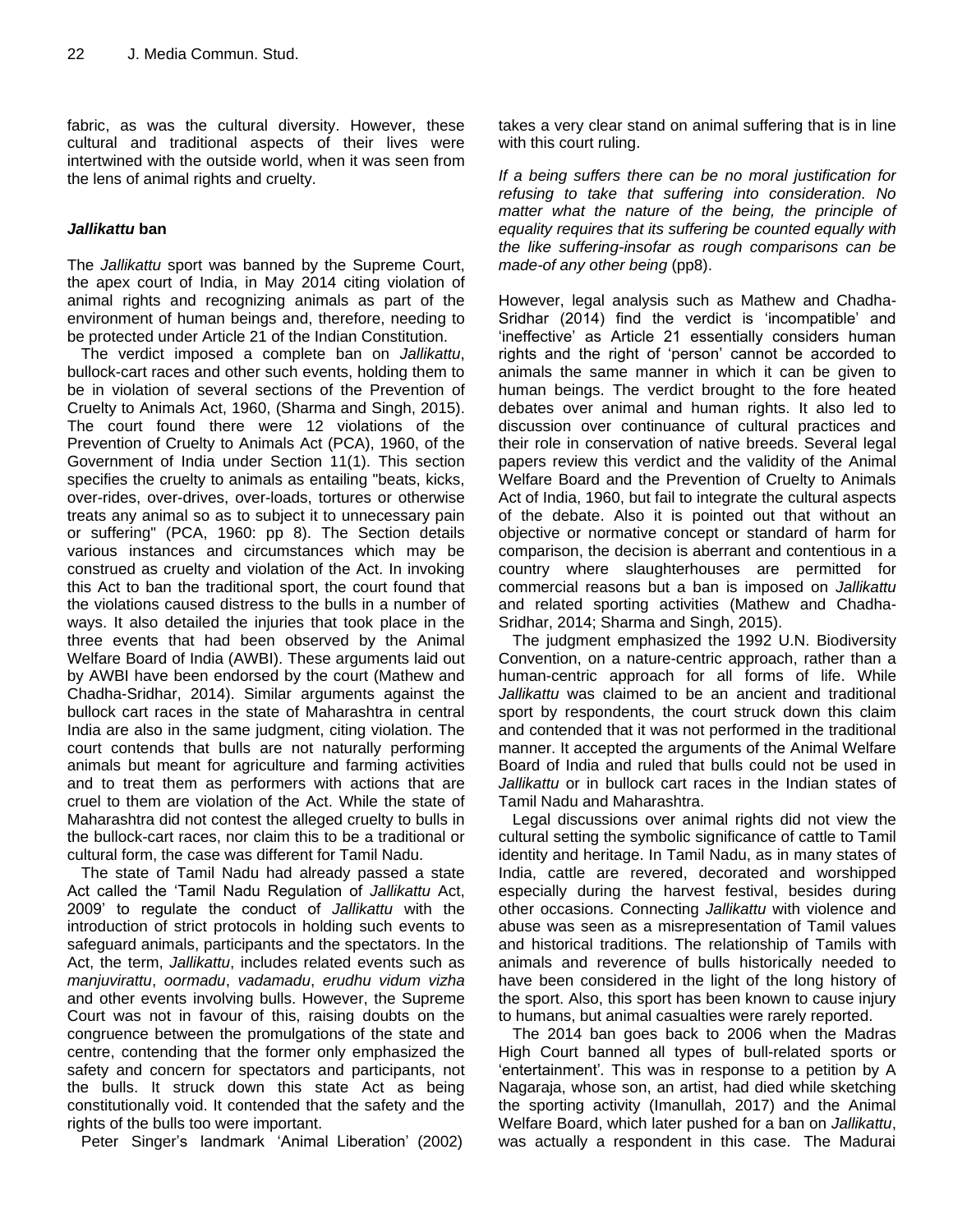fabric, as was the cultural diversity. However, these cultural and traditional aspects of their lives were intertwined with the outside world, when it was seen from the lens of animal rights and cruelty.

# *Jallikattu* **ban**

The *Jallikattu* sport was banned by the Supreme Court, the apex court of India, in May 2014 citing violation of animal rights and recognizing animals as part of the environment of human beings and, therefore, needing to be protected under Article 21 of the Indian Constitution.

The verdict imposed a complete ban on *Jallikattu*, bullock-cart races and other such events, holding them to be in violation of several sections of the Prevention of Cruelty to Animals Act, 1960, (Sharma and Singh, 2015). The court found there were 12 violations of the Prevention of Cruelty to Animals Act (PCA), 1960, of the Government of India under Section 11(1). This section specifies the cruelty to animals as entailing "beats, kicks, over-rides, over-drives, over-loads, tortures or otherwise treats any animal so as to subject it to unnecessary pain or suffering" (PCA, 1960: pp 8). The Section details various instances and circumstances which may be construed as cruelty and violation of the Act. In invoking this Act to ban the traditional sport, the court found that the violations caused distress to the bulls in a number of ways. It also detailed the injuries that took place in the three events that had been observed by the Animal Welfare Board of India (AWBI). These arguments laid out by AWBI have been endorsed by the court (Mathew and Chadha-Sridhar, 2014). Similar arguments against the bullock cart races in the state of Maharashtra in central India are also in the same judgment, citing violation. The court contends that bulls are not naturally performing animals but meant for agriculture and farming activities and to treat them as performers with actions that are cruel to them are violation of the Act. While the state of Maharashtra did not contest the alleged cruelty to bulls in the bullock-cart races, nor claim this to be a traditional or cultural form, the case was different for Tamil Nadu.

The state of Tamil Nadu had already passed a state Act called the "Tamil Nadu Regulation of *Jallikattu* Act, 2009" to regulate the conduct of *Jallikattu* with the introduction of strict protocols in holding such events to safeguard animals, participants and the spectators. In the Act, the term, *Jallikattu*, includes related events such as *manjuvirattu*, *oormadu*, *vadamadu*, *erudhu vidum vizha* and other events involving bulls. However, the Supreme Court was not in favour of this, raising doubts on the congruence between the promulgations of the state and centre, contending that the former only emphasized the safety and concern for spectators and participants, not the bulls. It struck down this state Act as being constitutionally void. It contended that the safety and the rights of the bulls too were important.

Peter Singer's landmark 'Animal Liberation' (2002)

takes a very clear stand on animal suffering that is in line with this court ruling.

*If a being suffers there can be no moral justification for refusing to take that suffering into consideration. No matter what the nature of the being, the principle of equality requires that its suffering be counted equally with the like suffering-insofar as rough comparisons can be made-of any other being* (pp8).

However, legal analysis such as Mathew and Chadha-Sridhar (2014) find the verdict is "incompatible" and "ineffective" as Article 21 essentially considers human rights and the right of "person" cannot be accorded to animals the same manner in which it can be given to human beings. The verdict brought to the fore heated debates over animal and human rights. It also led to discussion over continuance of cultural practices and their role in conservation of native breeds. Several legal papers review this verdict and the validity of the Animal Welfare Board and the Prevention of Cruelty to Animals Act of India, 1960, but fail to integrate the cultural aspects of the debate. Also it is pointed out that without an objective or normative concept or standard of harm for comparison, the decision is aberrant and contentious in a country where slaughterhouses are permitted for commercial reasons but a ban is imposed on *Jallikattu* and related sporting activities (Mathew and Chadha-Sridhar, 2014; Sharma and Singh, 2015).

The judgment emphasized the 1992 U.N. Biodiversity Convention, on a nature-centric approach, rather than a human-centric approach for all forms of life. While *Jallikattu* was claimed to be an ancient and traditional sport by respondents, the court struck down this claim and contended that it was not performed in the traditional manner. It accepted the arguments of the Animal Welfare Board of India and ruled that bulls could not be used in *Jallikattu* or in bullock cart races in the Indian states of Tamil Nadu and Maharashtra.

Legal discussions over animal rights did not view the cultural setting the symbolic significance of cattle to Tamil identity and heritage. In Tamil Nadu, as in many states of India, cattle are revered, decorated and worshipped especially during the harvest festival, besides during other occasions. Connecting *Jallikattu* with violence and abuse was seen as a misrepresentation of Tamil values and historical traditions. The relationship of Tamils with animals and reverence of bulls historically needed to have been considered in the light of the long history of the sport. Also, this sport has been known to cause injury to humans, but animal casualties were rarely reported.

The 2014 ban goes back to 2006 when the Madras High Court banned all types of bull-related sports or "entertainment"*.* This was in response to a petition by A Nagaraja, whose son, an artist, had died while sketching the sporting activity (Imanullah, 2017) and the Animal Welfare Board, which later pushed for a ban on *Jallikattu*, was actually a respondent in this case. The Madurai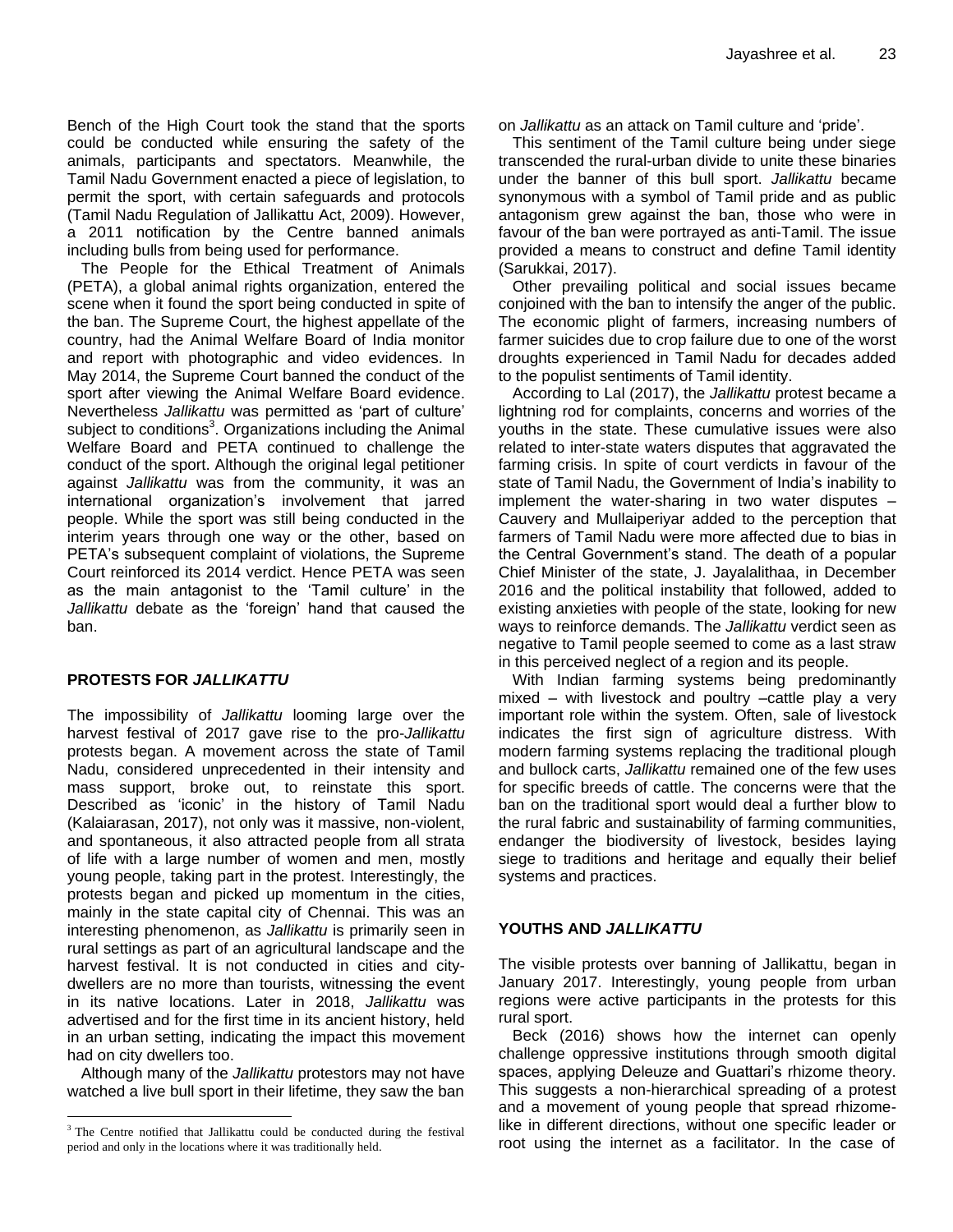Bench of the High Court took the stand that the sports could be conducted while ensuring the safety of the animals, participants and spectators. Meanwhile, the Tamil Nadu Government enacted a piece of legislation, to permit the sport, with certain safeguards and protocols (Tamil Nadu Regulation of Jallikattu Act, 2009). However, a 2011 notification by the Centre banned animals including bulls from being used for performance.

The People for the Ethical Treatment of Animals (PETA), a global animal rights organization, entered the scene when it found the sport being conducted in spite of the ban. The Supreme Court, the highest appellate of the country, had the Animal Welfare Board of India monitor and report with photographic and video evidences. In May 2014, the Supreme Court banned the conduct of the sport after viewing the Animal Welfare Board evidence. Nevertheless *Jallikattu* was permitted as "part of culture" subject to conditions<sup>3</sup>. Organizations including the Animal Welfare Board and PETA continued to challenge the conduct of the sport. Although the original legal petitioner against *Jallikattu* was from the community, it was an international organization"s involvement that jarred people. While the sport was still being conducted in the interim years through one way or the other, based on PETA's subsequent complaint of violations, the Supreme Court reinforced its 2014 verdict. Hence PETA was seen as the main antagonist to the 'Tamil culture' in the *Jallikattu* debate as the "foreign" hand that caused the ban.

# **PROTESTS FOR** *JALLIKATTU*

 $\overline{a}$ 

The impossibility of *Jallikattu* looming large over the harvest festival of 2017 gave rise to the pro-*Jallikattu* protests began. A movement across the state of Tamil Nadu, considered unprecedented in their intensity and mass support, broke out, to reinstate this sport. Described as 'iconic' in the history of Tamil Nadu (Kalaiarasan, 2017), not only was it massive, non-violent, and spontaneous, it also attracted people from all strata of life with a large number of women and men, mostly young people, taking part in the protest. Interestingly, the protests began and picked up momentum in the cities, mainly in the state capital city of Chennai. This was an interesting phenomenon, as *Jallikattu* is primarily seen in rural settings as part of an agricultural landscape and the harvest festival. It is not conducted in cities and citydwellers are no more than tourists, witnessing the event in its native locations. Later in 2018, *Jallikattu* was advertised and for the first time in its ancient history, held in an urban setting, indicating the impact this movement had on city dwellers too.

Although many of the *Jallikattu* protestors may not have watched a live bull sport in their lifetime, they saw the ban on *Jallikattu* as an attack on Tamil culture and "pride".

This sentiment of the Tamil culture being under siege transcended the rural-urban divide to unite these binaries under the banner of this bull sport. *Jallikattu* became synonymous with a symbol of Tamil pride and as public antagonism grew against the ban, those who were in favour of the ban were portrayed as anti-Tamil. The issue provided a means to construct and define Tamil identity (Sarukkai, 2017).

Other prevailing political and social issues became conjoined with the ban to intensify the anger of the public. The economic plight of farmers, increasing numbers of farmer suicides due to crop failure due to one of the worst droughts experienced in Tamil Nadu for decades added to the populist sentiments of Tamil identity.

According to Lal (2017), the *Jallikattu* protest became a lightning rod for complaints, concerns and worries of the youths in the state. These cumulative issues were also related to inter-state waters disputes that aggravated the farming crisis. In spite of court verdicts in favour of the state of Tamil Nadu, the Government of India"s inability to implement the water-sharing in two water disputes – Cauvery and Mullaiperiyar added to the perception that farmers of Tamil Nadu were more affected due to bias in the Central Government"s stand. The death of a popular Chief Minister of the state, J. Jayalalithaa, in December 2016 and the political instability that followed, added to existing anxieties with people of the state, looking for new ways to reinforce demands. The *Jallikattu* verdict seen as negative to Tamil people seemed to come as a last straw in this perceived neglect of a region and its people.

With Indian farming systems being predominantly mixed – with livestock and poultry –cattle play a very important role within the system. Often, sale of livestock indicates the first sign of agriculture distress. With modern farming systems replacing the traditional plough and bullock carts, *Jallikattu* remained one of the few uses for specific breeds of cattle. The concerns were that the ban on the traditional sport would deal a further blow to the rural fabric and sustainability of farming communities, endanger the biodiversity of livestock, besides laying siege to traditions and heritage and equally their belief systems and practices.

#### **YOUTHS AND** *JALLIKATTU*

The visible protests over banning of Jallikattu, began in January 2017. Interestingly, young people from urban regions were active participants in the protests for this rural sport.

Beck (2016) shows how the internet can openly challenge oppressive institutions through smooth digital spaces, applying Deleuze and Guattari's rhizome theory. This suggests a non-hierarchical spreading of a protest and a movement of young people that spread rhizomelike in different directions, without one specific leader or root using the internet as a facilitator. In the case of

<sup>&</sup>lt;sup>3</sup> The Centre notified that Jallikattu could be conducted during the festival period and only in the locations where it was traditionally held.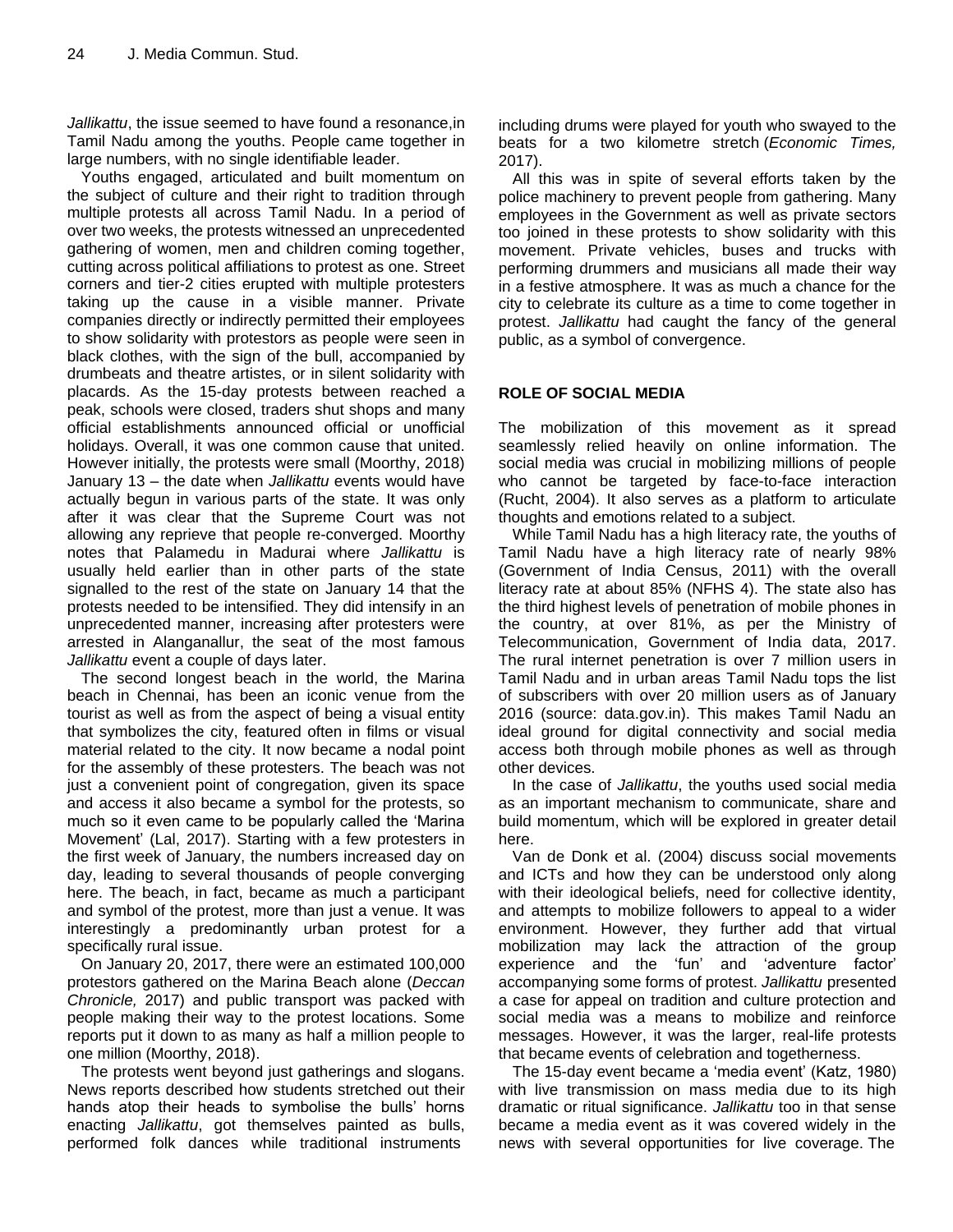*Jallikattu*, the issue seemed to have found a resonance,in Tamil Nadu among the youths. People came together in large numbers, with no single identifiable leader.

Youths engaged, articulated and built momentum on the subject of culture and their right to tradition through multiple protests all across Tamil Nadu. In a period of over two weeks, the protests witnessed an unprecedented gathering of women, men and children coming together, cutting across political affiliations to protest as one. Street corners and tier-2 cities erupted with multiple protesters taking up the cause in a visible manner. Private companies directly or indirectly permitted their employees to show solidarity with protestors as people were seen in black clothes, with the sign of the bull, accompanied by drumbeats and theatre artistes, or in silent solidarity with placards. As the 15-day protests between reached a peak, schools were closed, traders shut shops and many official establishments announced official or unofficial holidays. Overall, it was one common cause that united. However initially, the protests were small (Moorthy, 2018) January 13 – the date when *Jallikattu* events would have actually begun in various parts of the state. It was only after it was clear that the Supreme Court was not allowing any reprieve that people re-converged. Moorthy notes that Palamedu in Madurai where *Jallikattu* is usually held earlier than in other parts of the state signalled to the rest of the state on January 14 that the protests needed to be intensified. They did intensify in an unprecedented manner, increasing after protesters were arrested in Alanganallur, the seat of the most famous *Jallikattu* event a couple of days later.

The second longest beach in the world, the Marina beach in Chennai, has been an iconic venue from the tourist as well as from the aspect of being a visual entity that symbolizes the city, featured often in films or visual material related to the city. It now became a nodal point for the assembly of these protesters. The beach was not just a convenient point of congregation, given its space and access it also became a symbol for the protests, so much so it even came to be popularly called the "Marina Movement" (Lal, 2017). Starting with a few protesters in the first week of January, the numbers increased day on day, leading to several thousands of people converging here. The beach, in fact, became as much a participant and symbol of the protest, more than just a venue. It was interestingly a predominantly urban protest for a specifically rural issue.

On January 20, 2017, there were an estimated 100,000 protestors gathered on the Marina Beach alone (*Deccan Chronicle,* 2017) and public transport was packed with people making their way to the protest locations. Some reports put it down to as many as half a million people to one million (Moorthy, 2018).

The protests went beyond just gatherings and slogans. News reports described how students stretched out their hands atop their heads to symbolise the bulls' horns enacting *Jallikattu*, got themselves painted as bulls, performed folk dances while traditional instruments

including drums were played for youth who swayed to the beats for a two kilometre stretch (*Economic Times,* 2017).

All this was in spite of several efforts taken by the police machinery to prevent people from gathering. Many employees in the Government as well as private sectors too joined in these protests to show solidarity with this movement. Private vehicles, buses and trucks with performing drummers and musicians all made their way in a festive atmosphere. It was as much a chance for the city to celebrate its culture as a time to come together in protest. *Jallikattu* had caught the fancy of the general public, as a symbol of convergence.

# **ROLE OF SOCIAL MEDIA**

The mobilization of this movement as it spread seamlessly relied heavily on online information. The social media was crucial in mobilizing millions of people who cannot be targeted by face-to-face interaction (Rucht, 2004). It also serves as a platform to articulate thoughts and emotions related to a subject.

While Tamil Nadu has a high literacy rate, the youths of Tamil Nadu have a high literacy rate of nearly 98% (Government of India Census, 2011) with the overall literacy rate at about 85% (NFHS 4). The state also has the third highest levels of penetration of mobile phones in the country, at over 81%, as per the Ministry of Telecommunication, Government of India data, 2017. The rural internet penetration is over 7 million users in Tamil Nadu and in urban areas Tamil Nadu tops the list of subscribers with over 20 million users as of January 2016 (source: data.gov.in). This makes Tamil Nadu an ideal ground for digital connectivity and social media access both through mobile phones as well as through other devices.

In the case of *Jallikattu*, the youths used social media as an important mechanism to communicate, share and build momentum, which will be explored in greater detail here.

Van de Donk et al. (2004) discuss social movements and ICTs and how they can be understood only along with their ideological beliefs, need for collective identity, and attempts to mobilize followers to appeal to a wider environment. However, they further add that virtual mobilization may lack the attraction of the group experience and the "fun" and "adventure factor" accompanying some forms of protest. *Jallikattu* presented a case for appeal on tradition and culture protection and social media was a means to mobilize and reinforce messages. However, it was the larger, real-life protests that became events of celebration and togetherness.

The 15-day event became a "media event" (Katz, 1980) with live transmission on mass media due to its high dramatic or ritual significance. *Jallikattu* too in that sense became a media event as it was covered widely in the news with several opportunities for live coverage. The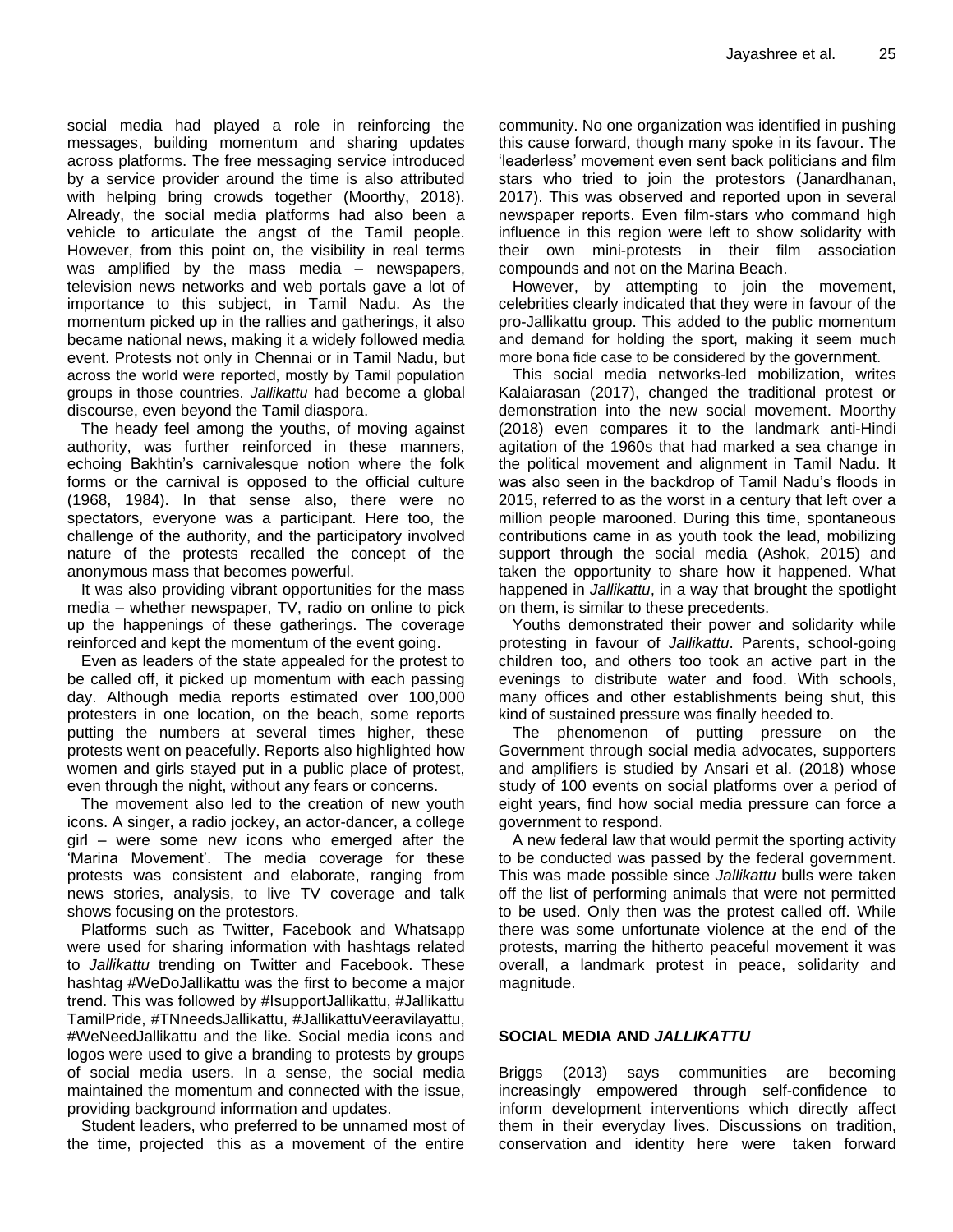social media had played a role in reinforcing the messages, building momentum and sharing updates across platforms. The free messaging service introduced by a service provider around the time is also attributed with helping bring crowds together (Moorthy, 2018). Already, the social media platforms had also been a vehicle to articulate the angst of the Tamil people. However, from this point on, the visibility in real terms was amplified by the mass media – newspapers, television news networks and web portals gave a lot of importance to this subject, in Tamil Nadu. As the momentum picked up in the rallies and gatherings, it also became national news, making it a widely followed media event. Protests not only in Chennai or in Tamil Nadu, but across the world were reported, mostly by Tamil population groups in those countries. *Jallikattu* had become a global discourse, even beyond the Tamil diaspora.

The heady feel among the youths, of moving against authority, was further reinforced in these manners, echoing Bakhtin"s carnivalesque notion where the folk forms or the carnival is opposed to the official culture (1968, 1984). In that sense also, there were no spectators, everyone was a participant. Here too, the challenge of the authority, and the participatory involved nature of the protests recalled the concept of the anonymous mass that becomes powerful.

It was also providing vibrant opportunities for the mass media – whether newspaper, TV, radio on online to pick up the happenings of these gatherings. The coverage reinforced and kept the momentum of the event going.

Even as leaders of the state appealed for the protest to be called off, it picked up momentum with each passing day. Although media reports estimated over 100,000 protesters in one location, on the beach, some reports putting the numbers at several times higher, these protests went on peacefully. Reports also highlighted how women and girls stayed put in a public place of protest, even through the night, without any fears or concerns.

The movement also led to the creation of new youth icons. A singer, a radio jockey, an actor-dancer, a college girl – were some new icons who emerged after the 'Marina Movement'. The media coverage for these protests was consistent and elaborate, ranging from news stories, analysis, to live TV coverage and talk shows focusing on the protestors.

Platforms such as Twitter, Facebook and Whatsapp were used for sharing information with hashtags related to *Jallikattu* trending on Twitter and Facebook. These hashtag #WeDoJallikattu was the first to become a major trend. This was followed by #IsupportJallikattu, #Jallikattu TamilPride, #TNneedsJallikattu, #JallikattuVeeravilayattu, #WeNeedJallikattu and the like. Social media icons and logos were used to give a branding to protests by groups of social media users. In a sense, the social media maintained the momentum and connected with the issue, providing background information and updates.

Student leaders, who preferred to be unnamed most of the time, projected this as a movement of the entire community. No one organization was identified in pushing this cause forward, though many spoke in its favour. The 'leaderless' movement even sent back politicians and film stars who tried to join the protestors (Janardhanan, 2017). This was observed and reported upon in several newspaper reports. Even film-stars who command high influence in this region were left to show solidarity with their own mini-protests in their film association compounds and not on the Marina Beach.

However, by attempting to join the movement, celebrities clearly indicated that they were in favour of the pro-Jallikattu group. This added to the public momentum and demand for holding the sport, making it seem much more bona fide case to be considered by the government.

This social media networks-led mobilization, writes Kalaiarasan (2017), changed the traditional protest or demonstration into the new social movement. Moorthy (2018) even compares it to the landmark anti-Hindi agitation of the 1960s that had marked a sea change in the political movement and alignment in Tamil Nadu. It was also seen in the backdrop of Tamil Nadu"s floods in 2015, referred to as the worst in a century that left over a million people marooned. During this time, spontaneous contributions came in as youth took the lead, mobilizing support through the social media (Ashok, 2015) and taken the opportunity to share how it happened. What happened in *Jallikattu*, in a way that brought the spotlight on them, is similar to these precedents.

Youths demonstrated their power and solidarity while protesting in favour of *Jallikattu*. Parents, school-going children too, and others too took an active part in the evenings to distribute water and food. With schools, many offices and other establishments being shut, this kind of sustained pressure was finally heeded to.

The phenomenon of putting pressure on the Government through social media advocates, supporters and amplifiers is studied by Ansari et al. (2018) whose study of 100 events on social platforms over a period of eight years, find how social media pressure can force a government to respond.

A new federal law that would permit the sporting activity to be conducted was passed by the federal government. This was made possible since *Jallikattu* bulls were taken off the list of performing animals that were not permitted to be used. Only then was the protest called off. While there was some unfortunate violence at the end of the protests, marring the hitherto peaceful movement it was overall, a landmark protest in peace, solidarity and magnitude.

# **SOCIAL MEDIA AND** *JALLIKATTU*

Briggs (2013) says communities are becoming increasingly empowered through self-confidence to inform development interventions which directly affect them in their everyday lives. Discussions on tradition, conservation and identity here were taken forward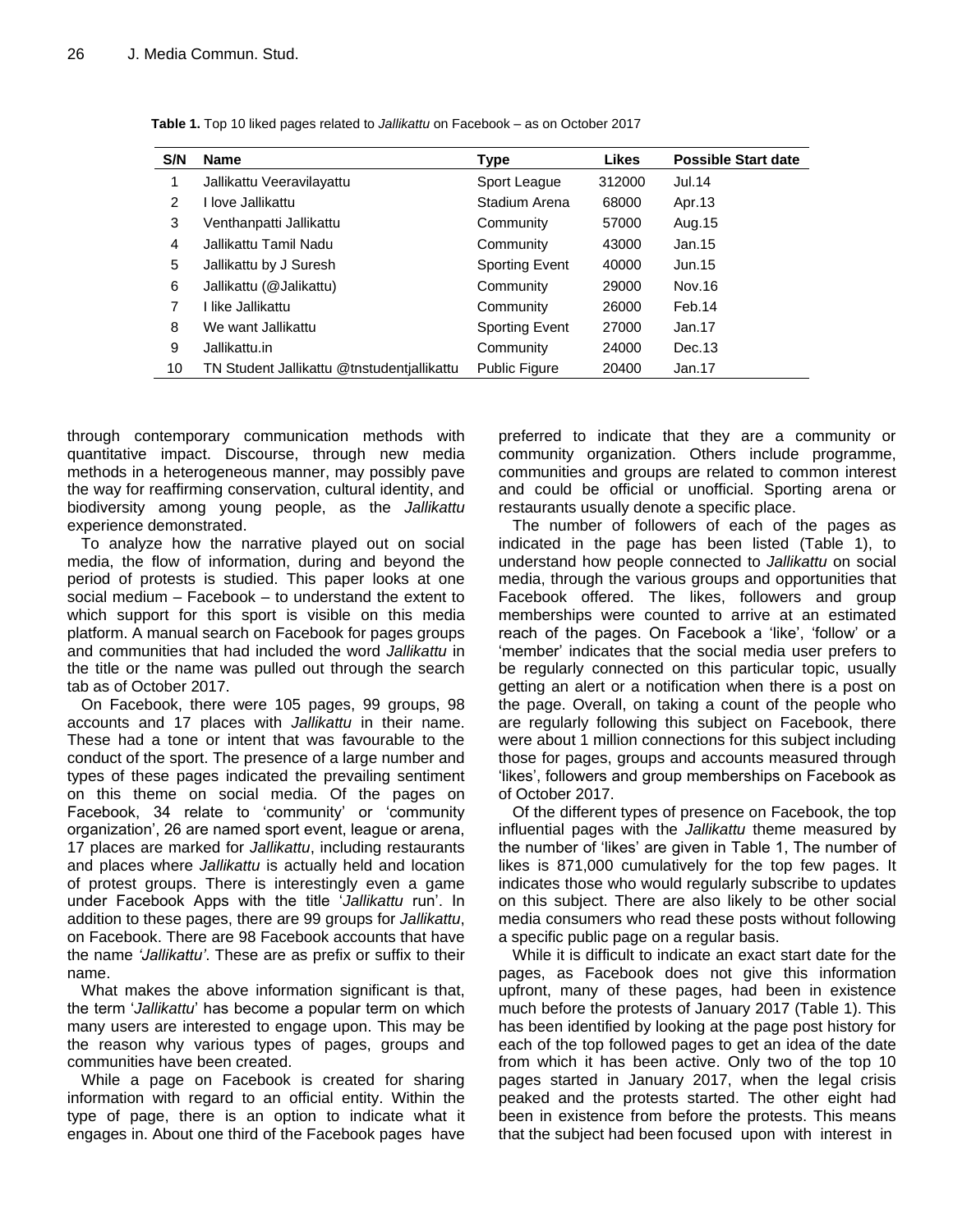| S/N | <b>Name</b>                                | Type                  | <b>Likes</b> | <b>Possible Start date</b> |
|-----|--------------------------------------------|-----------------------|--------------|----------------------------|
| 1   | Jallikattu Veeravilayattu                  | Sport League          | 312000       | Jul.14                     |
| 2   | I love Jallikattu                          | Stadium Arena         | 68000        | Apr.13                     |
| 3   | Venthanpatti Jallikattu                    | Community             | 57000        | Aug. 15                    |
| 4   | Jallikattu Tamil Nadu                      | Community             | 43000        | Jan.15                     |
| 5   | Jallikattu by J Suresh                     | <b>Sporting Event</b> | 40000        | Jun.15                     |
| 6   | Jallikattu (@Jalikattu)                    | Community             | 29000        | Nov.16                     |
| 7   | I like Jallikattu                          | Community             | 26000        | Feb.14                     |
| 8   | We want Jallikattu                         | <b>Sporting Event</b> | 27000        | Jan.17                     |
| 9   | Jallikattu.in                              | Community             | 24000        | Dec.13                     |
| 10  | TN Student Jallikattu @tnstudentiallikattu | <b>Public Figure</b>  | 20400        | Jan.17                     |

**Table 1.** Top 10 liked pages related to *Jallikattu* on Facebook – as on October 2017

through contemporary communication methods with quantitative impact. Discourse, through new media methods in a heterogeneous manner, may possibly pave the way for reaffirming conservation, cultural identity, and biodiversity among young people, as the *Jallikattu* experience demonstrated.

To analyze how the narrative played out on social media, the flow of information, during and beyond the period of protests is studied. This paper looks at one social medium – Facebook – to understand the extent to which support for this sport is visible on this media platform. A manual search on Facebook for pages groups and communities that had included the word *Jallikattu* in the title or the name was pulled out through the search tab as of October 2017.

On Facebook, there were 105 pages, 99 groups, 98 accounts and 17 places with *Jallikattu* in their name. These had a tone or intent that was favourable to the conduct of the sport. The presence of a large number and types of these pages indicated the prevailing sentiment on this theme on social media. Of the pages on Facebook, 34 relate to 'community' or 'community organization", 26 are named sport event, league or arena, 17 places are marked for *Jallikattu*, including restaurants and places where *Jallikattu* is actually held and location of protest groups. There is interestingly even a game under Facebook Apps with the title "*Jallikattu* run". In addition to these pages, there are 99 groups for *Jallikattu*, on Facebook. There are 98 Facebook accounts that have the name *'Jallikattu'*. These are as prefix or suffix to their name.

What makes the above information significant is that, the term "*Jallikattu*" has become a popular term on which many users are interested to engage upon. This may be the reason why various types of pages, groups and communities have been created.

While a page on Facebook is created for sharing information with regard to an official entity. Within the type of page, there is an option to indicate what it engages in. About one third of the Facebook pages have

preferred to indicate that they are a community or community organization. Others include programme, communities and groups are related to common interest and could be official or unofficial. Sporting arena or restaurants usually denote a specific place.

The number of followers of each of the pages as indicated in the page has been listed (Table 1), to understand how people connected to *Jallikattu* on social media, through the various groups and opportunities that Facebook offered. The likes, followers and group memberships were counted to arrive at an estimated reach of the pages. On Facebook a "like", "follow" or a 'member' indicates that the social media user prefers to be regularly connected on this particular topic, usually getting an alert or a notification when there is a post on the page. Overall, on taking a count of the people who are regularly following this subject on Facebook, there were about 1 million connections for this subject including those for pages, groups and accounts measured through "likes", followers and group memberships on Facebook as of October 2017.

Of the different types of presence on Facebook, the top influential pages with the *Jallikattu* theme measured by the number of "likes" are given in Table 1, The number of likes is 871,000 cumulatively for the top few pages. It indicates those who would regularly subscribe to updates on this subject. There are also likely to be other social media consumers who read these posts without following a specific public page on a regular basis.

While it is difficult to indicate an exact start date for the pages, as Facebook does not give this information upfront, many of these pages, had been in existence much before the protests of January 2017 (Table 1). This has been identified by looking at the page post history for each of the top followed pages to get an idea of the date from which it has been active. Only two of the top 10 pages started in January 2017, when the legal crisis peaked and the protests started. The other eight had been in existence from before the protests. This means that the subject had been focused upon with interest in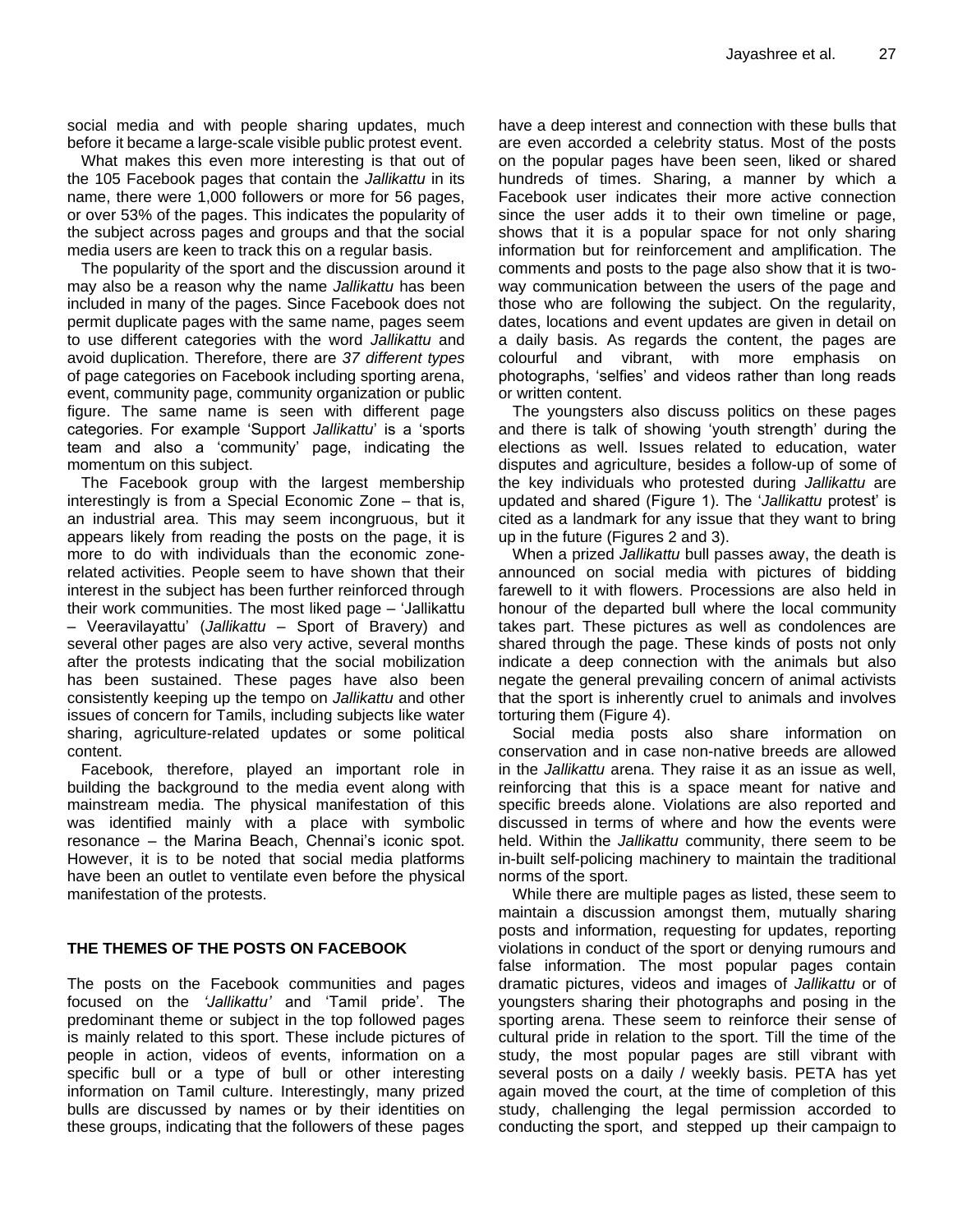social media and with people sharing updates, much before it became a large-scale visible public protest event.

What makes this even more interesting is that out of the 105 Facebook pages that contain the *Jallikattu* in its name, there were 1,000 followers or more for 56 pages, or over 53% of the pages. This indicates the popularity of the subject across pages and groups and that the social media users are keen to track this on a regular basis.

The popularity of the sport and the discussion around it may also be a reason why the name *Jallikattu* has been included in many of the pages. Since Facebook does not permit duplicate pages with the same name, pages seem to use different categories with the word *Jallikattu* and avoid duplication. Therefore, there are *37 different types* of page categories on Facebook including sporting arena, event, community page, community organization or public figure. The same name is seen with different page categories. For example "Support *Jallikattu*" is a "sports team and also a "community" page, indicating the momentum on this subject.

The Facebook group with the largest membership interestingly is from a Special Economic Zone – that is, an industrial area. This may seem incongruous, but it appears likely from reading the posts on the page, it is more to do with individuals than the economic zonerelated activities. People seem to have shown that their interest in the subject has been further reinforced through their work communities. The most liked page – "Jallikattu – Veeravilayattu" (*Jallikattu* – Sport of Bravery) and several other pages are also very active, several months after the protests indicating that the social mobilization has been sustained. These pages have also been consistently keeping up the tempo on *Jallikattu* and other issues of concern for Tamils, including subjects like water sharing, agriculture-related updates or some political content.

Facebook*,* therefore, played an important role in building the background to the media event along with mainstream media. The physical manifestation of this was identified mainly with a place with symbolic resonance – the Marina Beach, Chennai"s iconic spot. However, it is to be noted that social media platforms have been an outlet to ventilate even before the physical manifestation of the protests.

#### **THE THEMES OF THE POSTS ON FACEBOOK**

The posts on the Facebook communities and pages focused on the *'Jallikattu'* and "Tamil pride". The predominant theme or subject in the top followed pages is mainly related to this sport. These include pictures of people in action, videos of events, information on a specific bull or a type of bull or other interesting information on Tamil culture. Interestingly, many prized bulls are discussed by names or by their identities on these groups, indicating that the followers of these pages have a deep interest and connection with these bulls that are even accorded a celebrity status. Most of the posts on the popular pages have been seen, liked or shared hundreds of times. Sharing, a manner by which a Facebook user indicates their more active connection since the user adds it to their own timeline or page, shows that it is a popular space for not only sharing information but for reinforcement and amplification. The comments and posts to the page also show that it is twoway communication between the users of the page and those who are following the subject. On the regularity, dates, locations and event updates are given in detail on a daily basis. As regards the content, the pages are colourful and vibrant, with more emphasis on photographs, "selfies" and videos rather than long reads or written content.

The youngsters also discuss politics on these pages and there is talk of showing "youth strength" during the elections as well. Issues related to education, water disputes and agriculture, besides a follow-up of some of the key individuals who protested during *Jallikattu* are updated and shared (Figure 1). The "*Jallikattu* protest" is cited as a landmark for any issue that they want to bring up in the future (Figures 2 and 3).

When a prized *Jallikattu* bull passes away, the death is announced on social media with pictures of bidding farewell to it with flowers. Processions are also held in honour of the departed bull where the local community takes part. These pictures as well as condolences are shared through the page. These kinds of posts not only indicate a deep connection with the animals but also negate the general prevailing concern of animal activists that the sport is inherently cruel to animals and involves torturing them (Figure 4).

Social media posts also share information on conservation and in case non-native breeds are allowed in the *Jallikattu* arena. They raise it as an issue as well, reinforcing that this is a space meant for native and specific breeds alone. Violations are also reported and discussed in terms of where and how the events were held. Within the *Jallikattu* community, there seem to be in-built self-policing machinery to maintain the traditional norms of the sport.

While there are multiple pages as listed, these seem to maintain a discussion amongst them, mutually sharing posts and information, requesting for updates, reporting violations in conduct of the sport or denying rumours and false information. The most popular pages contain dramatic pictures, videos and images of *Jallikattu* or of youngsters sharing their photographs and posing in the sporting arena. These seem to reinforce their sense of cultural pride in relation to the sport. Till the time of the study, the most popular pages are still vibrant with several posts on a daily / weekly basis. PETA has yet again moved the court, at the time of completion of this study, challenging the legal permission accorded to conducting the sport, and stepped up their campaign to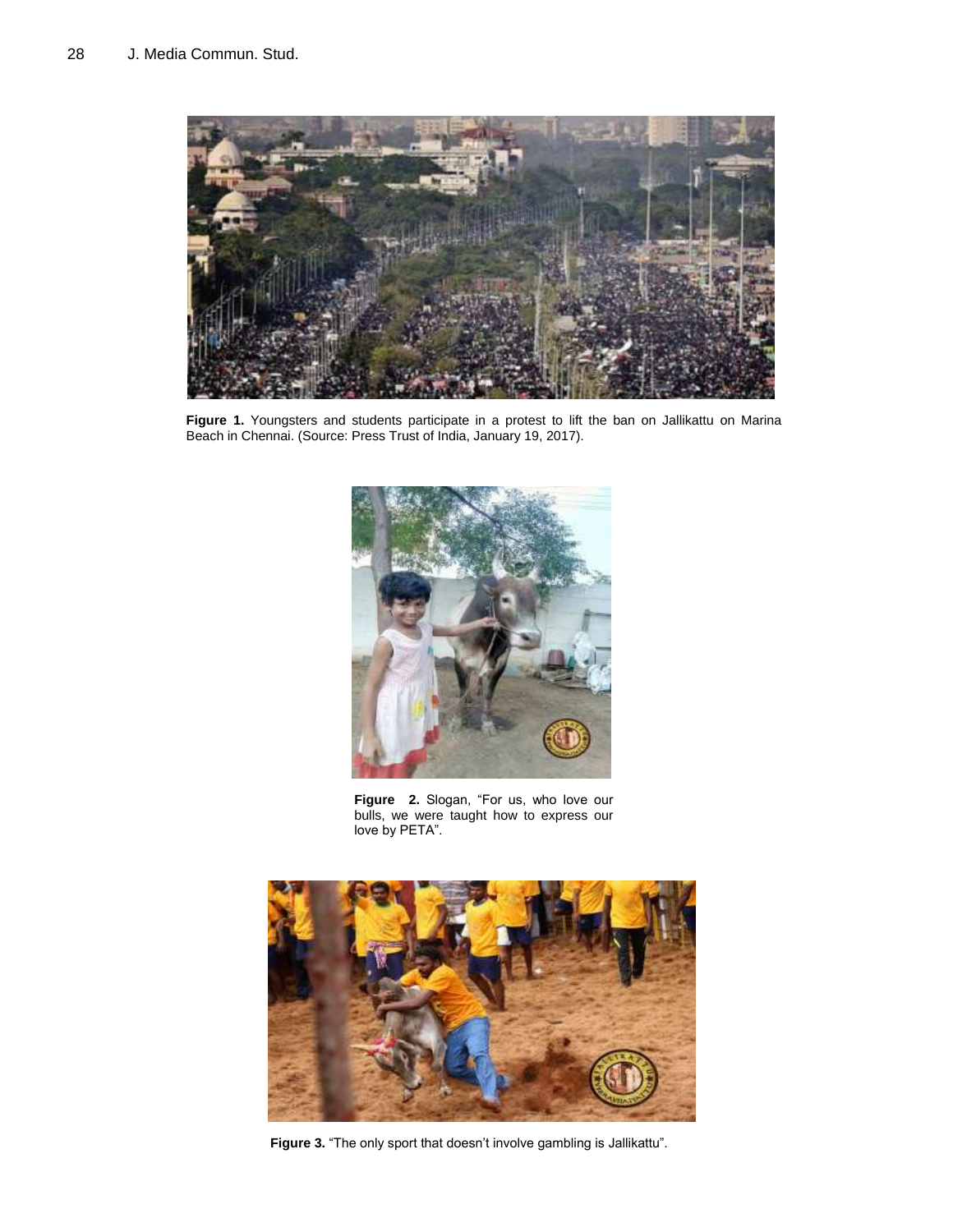

Figure 1. Youngsters and students participate in a protest to lift the ban on Jallikattu on Marina Beach in Chennai. (Source: Press Trust of India, January 19, 2017).



**Figure 2.** Slogan, "For us, who love our bulls, we were taught how to express our love by PETA".



Figure 3. "The only sport that doesn't involve gambling is Jallikattu".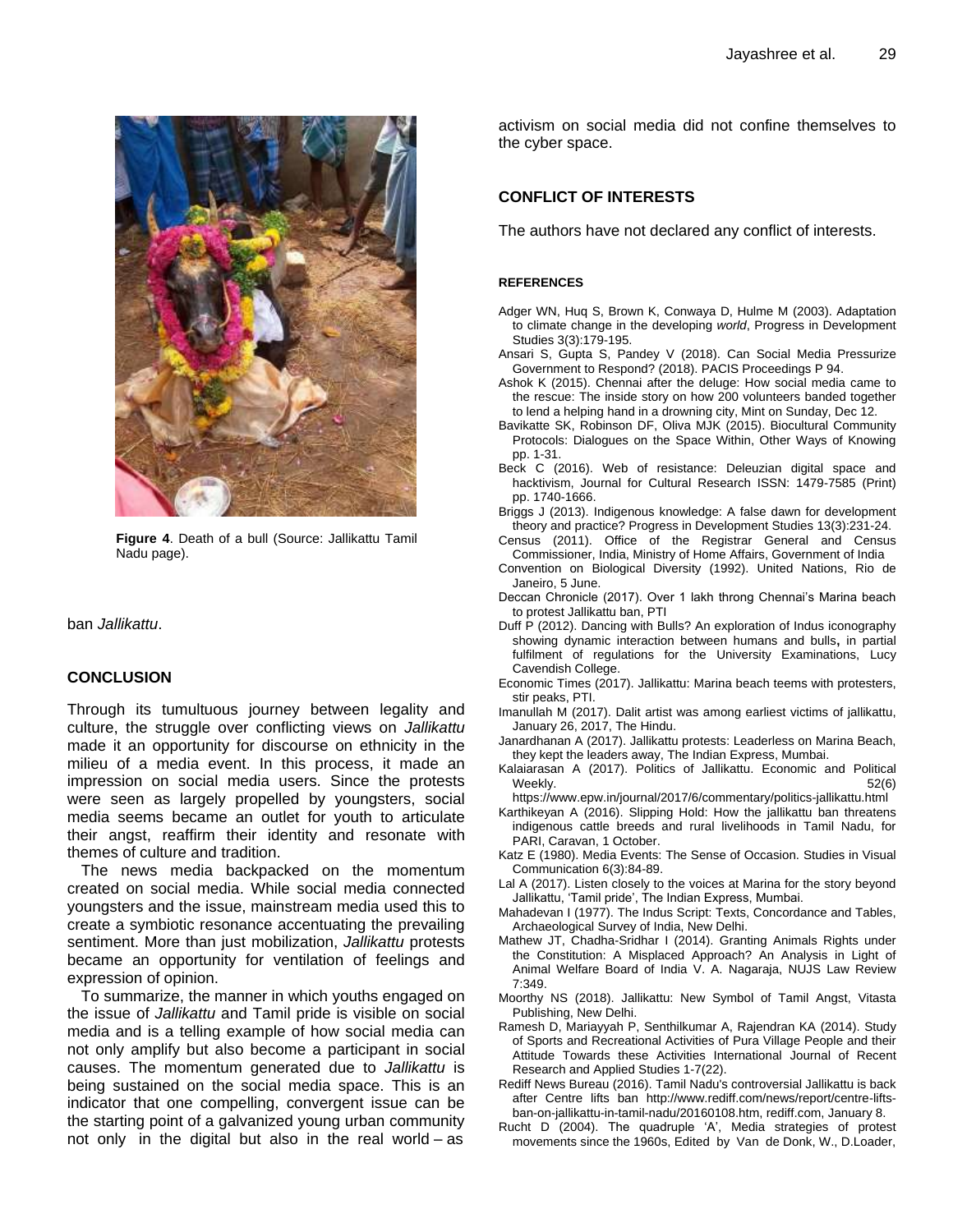

**Figure 4**. Death of a bull (Source: Jallikattu Tamil Nadu page).

ban *Jallikattu*.

#### **CONCLUSION**

Through its tumultuous journey between legality and culture, the struggle over conflicting views on *Jallikattu* made it an opportunity for discourse on ethnicity in the milieu of a media event. In this process, it made an impression on social media users. Since the protests were seen as largely propelled by youngsters, social media seems became an outlet for youth to articulate their angst, reaffirm their identity and resonate with themes of culture and tradition.

The news media backpacked on the momentum created on social media. While social media connected youngsters and the issue, mainstream media used this to create a symbiotic resonance accentuating the prevailing sentiment. More than just mobilization, *Jallikattu* protests became an opportunity for ventilation of feelings and expression of opinion.

To summarize, the manner in which youths engaged on the issue of *Jallikattu* and Tamil pride is visible on social media and is a telling example of how social media can not only amplify but also become a participant in social causes. The momentum generated due to *Jallikattu* is being sustained on the social media space. This is an indicator that one compelling, convergent issue can be the starting point of a galvanized young urban community not only in the digital but also in the real world – as activism on social media did not confine themselves to the cyber space.

# **CONFLICT OF INTERESTS**

The authors have not declared any conflict of interests.

#### **REFERENCES**

- Adger WN, Huq S, Brown K, Conwaya D, Hulme M (2003). Adaptation to climate change in the developing *world*, Progress in Development Studies 3(3):179-195.
- Ansari S, Gupta S, Pandey V (2018). Can Social Media Pressurize Government to Respond? (2018). PACIS Proceedings P 94.
- Ashok K (2015). Chennai after the deluge: How social media came to the rescue: The inside story on how 200 volunteers banded together to lend a helping hand in a drowning city, Mint on Sunday, Dec 12.
- Bavikatte SK, Robinson DF, Oliva MJK (2015). Biocultural Community Protocols: Dialogues on the Space Within, Other Ways of Knowing pp. 1-31.
- Beck C (2016). Web of resistance: Deleuzian digital space and hacktivism, Journal for Cultural Research ISSN: 1479-7585 (Print) pp. 1740-1666.
- Briggs J (2013). Indigenous knowledge: A false dawn for development theory and practice? Progress in Development Studies 13(3):231-24.
- Census (2011). Office of the Registrar General and Census Commissioner, India, Ministry of Home Affairs, Government of India
- Convention on Biological Diversity (1992). United Nations, Rio de Janeiro, 5 June.
- Deccan Chronicle (2017). Over 1 lakh throng Chennai's Marina beach to protest Jallikattu ban, PTI
- Duff P (2012). Dancing with Bulls? An exploration of Indus iconography showing dynamic interaction between humans and bulls**,** in partial fulfilment of regulations for the University Examinations, Lucy Cavendish College.
- Economic Times (2017). Jallikattu: Marina beach teems with protesters, stir peaks, PTI.
- Imanullah M (2017). Dalit artist was among earliest victims of jallikattu, January 26, 2017, The Hindu.
- Janardhanan A (2017). Jallikattu protests: Leaderless on Marina Beach, they kept the leaders away, The Indian Express, Mumbai.
- Kalaiarasan A (2017). Politics of Jallikattu. Economic and Political  $\text{Weekly.} \quad \text{52(6)}$
- https://www.epw.in/journal/2017/6/commentary/politics-jallikattu.html
- Karthikeyan A (2016). Slipping Hold: How the jallikattu ban threatens indigenous cattle breeds and rural livelihoods in Tamil Nadu, for PARI, Caravan, 1 October.
- Katz E (1980). Media Events: The Sense of Occasion. Studies in Visual Communication 6(3):84-89.
- Lal A (2017). Listen closely to the voices at Marina for the story beyond Jallikattu, "Tamil pride", The Indian Express, Mumbai.
- Mahadevan I (1977). The Indus Script: Texts, Concordance and Tables, Archaeological Survey of India, New Delhi.
- Mathew JT, Chadha-Sridhar I (2014). Granting Animals Rights under the Constitution: A Misplaced Approach? An Analysis in Light of Animal Welfare Board of India V. A. Nagaraja, NUJS Law Review 7:349.
- Moorthy NS (2018). Jallikattu: New Symbol of Tamil Angst, Vitasta Publishing, New Delhi.
- Ramesh D, Mariayyah P, Senthilkumar A, Rajendran KA (2014). Study of Sports and Recreational Activities of Pura Village People and their Attitude Towards these Activities International Journal of Recent Research and Applied Studies 1-7(22).
- Rediff News Bureau (2016). Tamil Nadu's controversial Jallikattu is back after Centre lifts ban http://www.rediff.com/news/report/centre-liftsban-on-jallikattu-in-tamil-nadu/20160108.htm, rediff.com, January 8.
- Rucht D (2004). The quadruple "A", Media strategies of protest movements since the 1960s, Edited by Van de Donk, W., D.Loader,